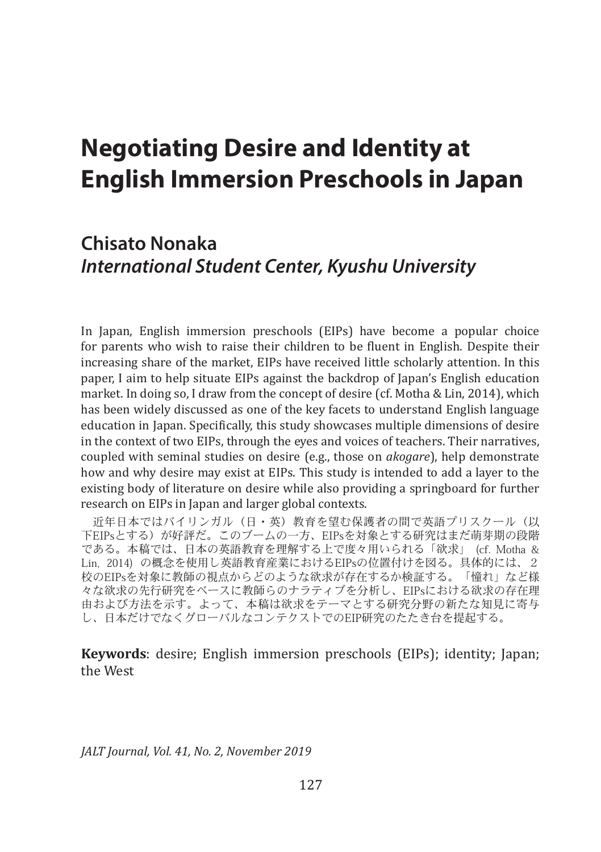# **Negotiating Desire and Identity at English Immersion Preschools in Japan**

# **Chisato Nonaka** *International Student Center, Kyushu University*

In Japan, English immersion preschools (EIPs) have become a popular choice for parents who wish to raise their children to be fluent in English. Despite their increasing share of the market, EIPs have received little scholarly attention. In this paper, I aim to help situate EIPs against the backdrop of Japan's English education market. In doing so, I draw from the concept of desire (cf. Motha & Lin, 2014), which has been widely discussed as one of the key facets to understand English language education in Japan. Specifically, this study showcases multiple dimensions of desire in the context of two EIPs, through the eyes and voices of teachers. Their narratives, coupled with seminal studies on desire (e.g., those on *akogare*), help demonstrate how and why desire may exist at EIPs. This study is intended to add a layer to the existing body of literature on desire while also providing a springboard for further research on EIPs in Japan and larger global contexts.

近年日本ではバイリンガル(日・英)教育を望む保護者の間で英語プリスクール(以 下EIPsとする)が好評だ。このブームの一方、EIPsを対象とする研究はまだ萌芽期の段階 である。本稿では、日本の英語教育を理解する上で度々用いられる「欲求」 (cf. Motha & Lin, 2014) の概念を使用し英語教育産業におけるEIPsの位置付けを図る。具体的には、2 校のEIPsを対象に教師の視点からどのような欲求が存在するか検証する。「憧れ」など様 々な欲求の先行研究をベースに教師らのナラティブを分析し、EIPsにおける欲求の存在理 由および方法を示す。よって、本稿は欲求をテーマとする研究分野の新たな知見に寄与 し、日本だけでなくグローバルなコンテクストでのEIP研究のたたき台を提起する。

**Keywords**: desire; English immersion preschools (EIPs); identity; Japan; the West

*JALT Journal, Vol. 41, No. 2, November 2019*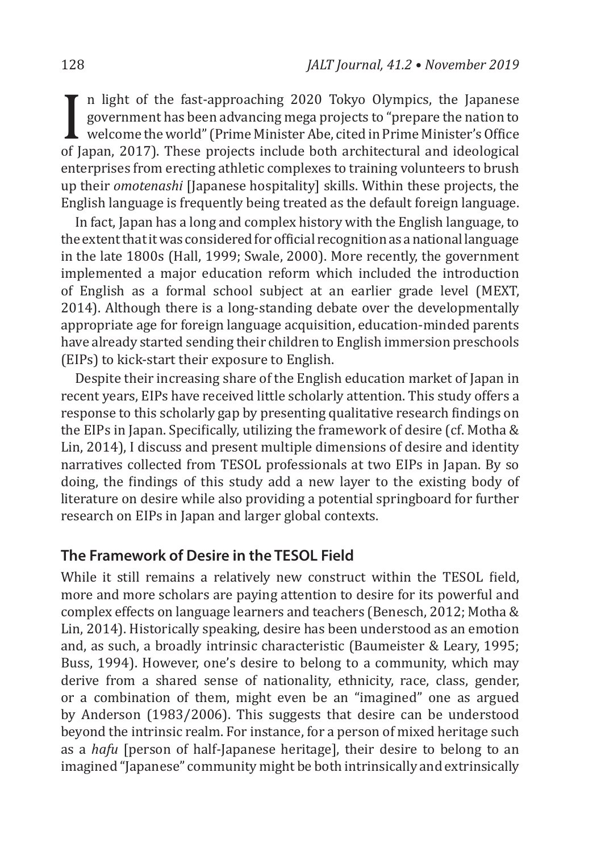$\prod_{\substack{\text{of }J\text{}}$ n light of the fast-approaching 2020 Tokyo Olympics, the Japanese government has been advancing mega projects to "prepare the nation to welcome the world" (Prime Minister Abe, cited in Prime Minister's Office of Japan, 2017). These projects include both architectural and ideological enterprises from erecting athletic complexes to training volunteers to brush up their *omotenashi* [Japanese hospitality] skills. Within these projects, the English language is frequently being treated as the default foreign language.

In fact, Japan has a long and complex history with the English language, to the extent that it was considered for official recognition as a national language in the late 1800s (Hall, 1999; Swale, 2000). More recently, the government implemented a major education reform which included the introduction of English as a formal school subject at an earlier grade level (MEXT, 2014). Although there is a long-standing debate over the developmentally appropriate age for foreign language acquisition, education-minded parents have already started sending their children to English immersion preschools (EIPs) to kick-start their exposure to English.

Despite their increasing share of the English education market of Japan in recent years, EIPs have received little scholarly attention. This study offers a response to this scholarly gap by presenting qualitative research findings on the EIPs in Japan. Specifically, utilizing the framework of desire (cf. Motha & Lin, 2014), I discuss and present multiple dimensions of desire and identity narratives collected from TESOL professionals at two EIPs in Japan. By so doing, the findings of this study add a new layer to the existing body of literature on desire while also providing a potential springboard for further research on EIPs in Japan and larger global contexts.

#### **The Framework of Desire in the TESOL Field**

While it still remains a relatively new construct within the TESOL field, more and more scholars are paying attention to desire for its powerful and complex effects on language learners and teachers (Benesch, 2012; Motha & Lin, 2014). Historically speaking, desire has been understood as an emotion and, as such, a broadly intrinsic characteristic (Baumeister & Leary, 1995; Buss, 1994). However, one's desire to belong to a community, which may derive from a shared sense of nationality, ethnicity, race, class, gender, or a combination of them, might even be an "imagined" one as argued by Anderson (1983/2006). This suggests that desire can be understood beyond the intrinsic realm. For instance, for a person of mixed heritage such as a *hafu* [person of half-Japanese heritage], their desire to belong to an imagined "Japanese" community might be both intrinsically and extrinsically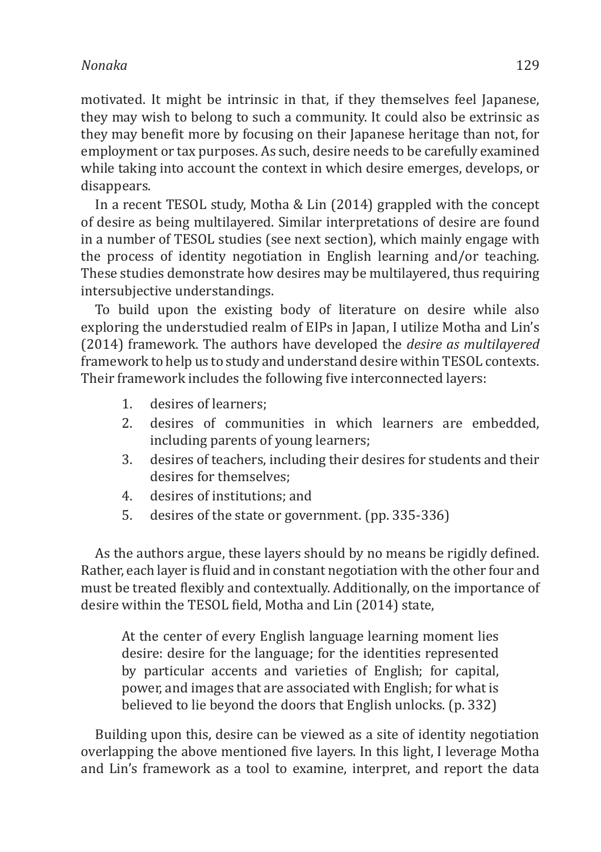motivated. It might be intrinsic in that, if they themselves feel Japanese, they may wish to belong to such a community. It could also be extrinsic as they may benefit more by focusing on their Japanese heritage than not, for employment or tax purposes. As such, desire needs to be carefully examined while taking into account the context in which desire emerges, develops, or disappears.

In a recent TESOL study, Motha & Lin (2014) grappled with the concept of desire as being multilayered. Similar interpretations of desire are found in a number of TESOL studies (see next section), which mainly engage with the process of identity negotiation in English learning and/or teaching. These studies demonstrate how desires may be multilayered, thus requiring intersubjective understandings.

To build upon the existing body of literature on desire while also exploring the understudied realm of EIPs in Japan, I utilize Motha and Lin's (2014) framework. The authors have developed the *desire as multilayered* framework to help us to study and understand desire within TESOL contexts. Their framework includes the following five interconnected layers:

- 1. desires of learners;
- 2. desires of communities in which learners are embedded, including parents of young learners;
- 3. desires of teachers, including their desires for students and their desires for themselves;
- 4. desires of institutions; and
- 5. desires of the state or government. (pp. 335-336)

As the authors argue, these layers should by no means be rigidly defined. Rather, each layer is fluid and in constant negotiation with the other four and must be treated flexibly and contextually. Additionally, on the importance of desire within the TESOL field, Motha and Lin (2014) state,

At the center of every English language learning moment lies desire: desire for the language; for the identities represented by particular accents and varieties of English; for capital, power, and images that are associated with English; for what is believed to lie beyond the doors that English unlocks. (p. 332)

Building upon this, desire can be viewed as a site of identity negotiation overlapping the above mentioned five layers. In this light, I leverage Motha and Lin's framework as a tool to examine, interpret, and report the data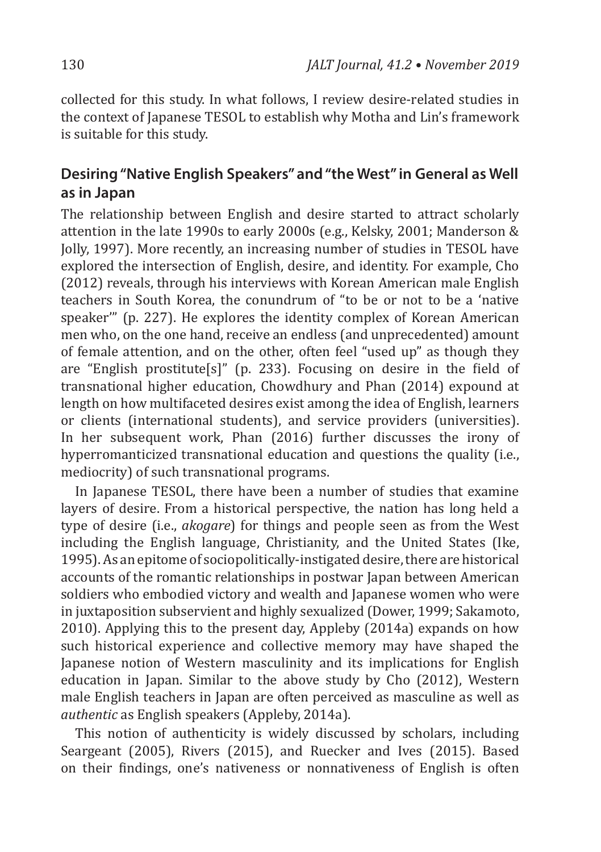collected for this study. In what follows, I review desire-related studies in the context of Japanese TESOL to establish why Motha and Lin's framework is suitable for this study.

### **Desiring "Native English Speakers" and "the West" in General as Well as in Japan**

The relationship between English and desire started to attract scholarly attention in the late 1990s to early 2000s (e.g., Kelsky, 2001; Manderson & Jolly, 1997). More recently, an increasing number of studies in TESOL have explored the intersection of English, desire, and identity. For example, Cho (2012) reveals, through his interviews with Korean American male English teachers in South Korea, the conundrum of "to be or not to be a 'native speaker'" (p. 227). He explores the identity complex of Korean American men who, on the one hand, receive an endless (and unprecedented) amount of female attention, and on the other, often feel "used up" as though they are "English prostitute[s]" (p. 233). Focusing on desire in the field of transnational higher education, Chowdhury and Phan (2014) expound at length on how multifaceted desires exist among the idea of English, learners or clients (international students), and service providers (universities). In her subsequent work, Phan (2016) further discusses the irony of hyperromanticized transnational education and questions the quality (i.e., mediocrity) of such transnational programs.

In Japanese TESOL, there have been a number of studies that examine layers of desire. From a historical perspective, the nation has long held a type of desire (i.e., *akogare*) for things and people seen as from the West including the English language, Christianity, and the United States (Ike, 1995). As an epitome of sociopolitically-instigated desire, there are historical accounts of the romantic relationships in postwar Japan between American soldiers who embodied victory and wealth and Japanese women who were in juxtaposition subservient and highly sexualized (Dower, 1999; Sakamoto, 2010). Applying this to the present day, Appleby (2014a) expands on how such historical experience and collective memory may have shaped the Japanese notion of Western masculinity and its implications for English education in Japan. Similar to the above study by Cho (2012), Western male English teachers in Japan are often perceived as masculine as well as *authentic* as English speakers (Appleby, 2014a).

This notion of authenticity is widely discussed by scholars, including Seargeant (2005), Rivers (2015), and Ruecker and Ives (2015). Based on their findings, one's nativeness or nonnativeness of English is often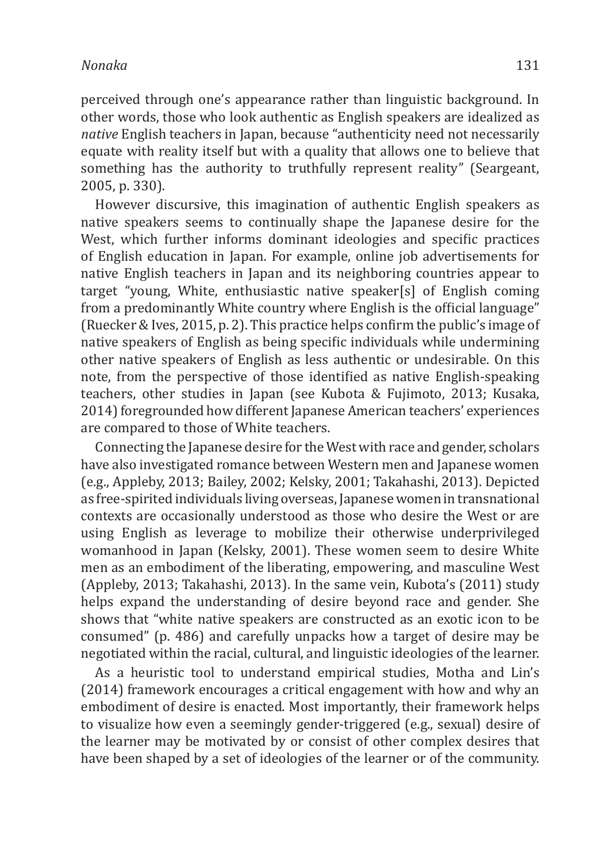perceived through one's appearance rather than linguistic background. In other words, those who look authentic as English speakers are idealized as *native* English teachers in Japan, because "authenticity need not necessarily equate with reality itself but with a quality that allows one to believe that something has the authority to truthfully represent reality" (Seargeant, 2005, p. 330).

However discursive, this imagination of authentic English speakers as native speakers seems to continually shape the Japanese desire for the West, which further informs dominant ideologies and specific practices of English education in Japan. For example, online job advertisements for native English teachers in Japan and its neighboring countries appear to target "young, White, enthusiastic native speaker[s] of English coming from a predominantly White country where English is the official language" (Ruecker & Ives, 2015, p. 2). This practice helps confirm the public's image of native speakers of English as being specific individuals while undermining other native speakers of English as less authentic or undesirable. On this note, from the perspective of those identified as native English-speaking teachers, other studies in Japan (see Kubota & Fujimoto, 2013; Kusaka, 2014) foregrounded how different Japanese American teachers' experiences are compared to those of White teachers.

Connecting the Japanese desire for the West with race and gender, scholars have also investigated romance between Western men and Japanese women (e.g., Appleby, 2013; Bailey, 2002; Kelsky, 2001; Takahashi, 2013). Depicted as free-spirited individuals living overseas, Japanese women in transnational contexts are occasionally understood as those who desire the West or are using English as leverage to mobilize their otherwise underprivileged womanhood in Japan (Kelsky, 2001). These women seem to desire White men as an embodiment of the liberating, empowering, and masculine West (Appleby, 2013; Takahashi, 2013). In the same vein, Kubota's (2011) study helps expand the understanding of desire beyond race and gender. She shows that "white native speakers are constructed as an exotic icon to be consumed" (p. 486) and carefully unpacks how a target of desire may be negotiated within the racial, cultural, and linguistic ideologies of the learner.

As a heuristic tool to understand empirical studies, Motha and Lin's (2014) framework encourages a critical engagement with how and why an embodiment of desire is enacted. Most importantly, their framework helps to visualize how even a seemingly gender-triggered (e.g., sexual) desire of the learner may be motivated by or consist of other complex desires that have been shaped by a set of ideologies of the learner or of the community.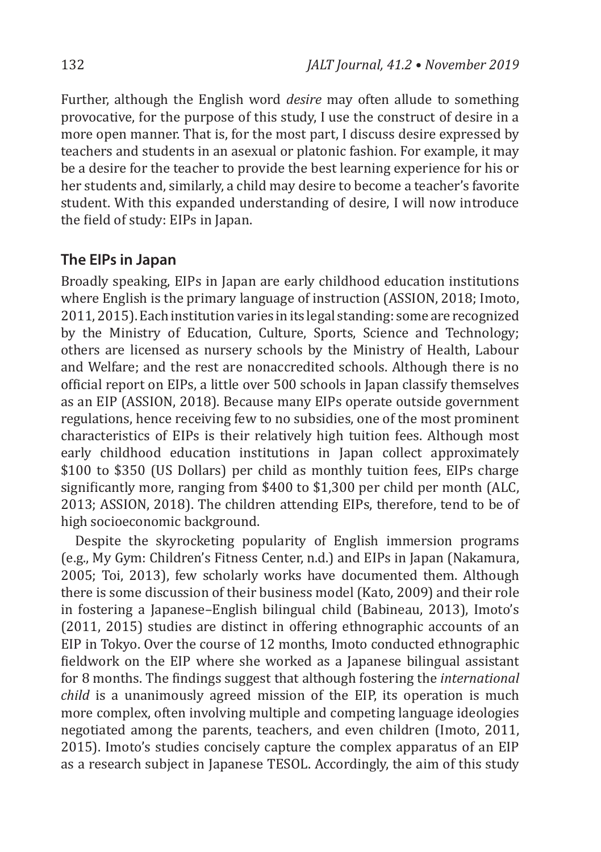Further, although the English word *desire* may often allude to something provocative, for the purpose of this study, I use the construct of desire in a more open manner. That is, for the most part, I discuss desire expressed by teachers and students in an asexual or platonic fashion. For example, it may be a desire for the teacher to provide the best learning experience for his or her students and, similarly, a child may desire to become a teacher's favorite student. With this expanded understanding of desire, I will now introduce the field of study: EIPs in Japan.

#### **The EIPs in Japan**

Broadly speaking, EIPs in Japan are early childhood education institutions where English is the primary language of instruction (ASSION, 2018; Imoto, 2011, 2015). Each institution varies in its legal standing: some are recognized by the Ministry of Education, Culture, Sports, Science and Technology; others are licensed as nursery schools by the Ministry of Health, Labour and Welfare; and the rest are nonaccredited schools. Although there is no official report on EIPs, a little over 500 schools in Japan classify themselves as an EIP (ASSION, 2018). Because many EIPs operate outside government regulations, hence receiving few to no subsidies, one of the most prominent characteristics of EIPs is their relatively high tuition fees. Although most early childhood education institutions in Japan collect approximately \$100 to \$350 (US Dollars) per child as monthly tuition fees, EIPs charge significantly more, ranging from \$400 to \$1,300 per child per month (ALC, 2013; ASSION, 2018). The children attending EIPs, therefore, tend to be of high socioeconomic background.

Despite the skyrocketing popularity of English immersion programs (e.g., My Gym: Children's Fitness Center, n.d.) and EIPs in Japan (Nakamura, 2005; Toi, 2013), few scholarly works have documented them. Although there is some discussion of their business model (Kato, 2009) and their role in fostering a Japanese–English bilingual child (Babineau, 2013), Imoto's (2011, 2015) studies are distinct in offering ethnographic accounts of an EIP in Tokyo. Over the course of 12 months, Imoto conducted ethnographic fieldwork on the EIP where she worked as a Japanese bilingual assistant for 8 months. The findings suggest that although fostering the *international child* is a unanimously agreed mission of the EIP, its operation is much more complex, often involving multiple and competing language ideologies negotiated among the parents, teachers, and even children (Imoto, 2011, 2015). Imoto's studies concisely capture the complex apparatus of an EIP as a research subject in Japanese TESOL. Accordingly, the aim of this study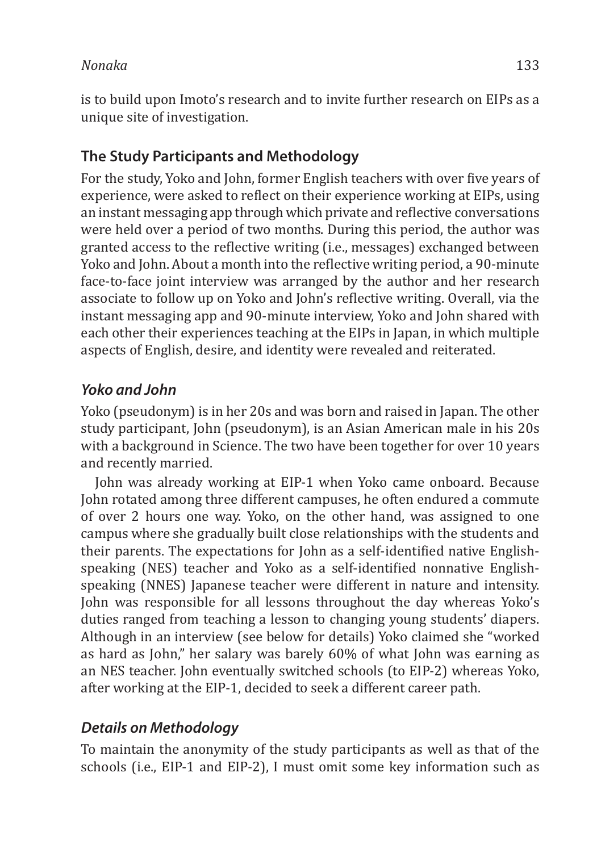is to build upon Imoto's research and to invite further research on EIPs as a unique site of investigation.

### **The Study Participants and Methodology**

For the study, Yoko and John, former English teachers with over five years of experience, were asked to reflect on their experience working at EIPs, using an instant messaging app through which private and reflective conversations were held over a period of two months. During this period, the author was granted access to the reflective writing (i.e., messages) exchanged between Yoko and John. About a month into the reflective writing period, a 90-minute face-to-face joint interview was arranged by the author and her research associate to follow up on Yoko and John's reflective writing. Overall, via the instant messaging app and 90-minute interview, Yoko and John shared with each other their experiences teaching at the EIPs in Japan, in which multiple aspects of English, desire, and identity were revealed and reiterated.

# *Yoko and John*

Yoko (pseudonym) is in her 20s and was born and raised in Japan. The other study participant, John (pseudonym), is an Asian American male in his 20s with a background in Science. The two have been together for over 10 years and recently married.

John was already working at EIP-1 when Yoko came onboard. Because John rotated among three different campuses, he often endured a commute of over 2 hours one way. Yoko, on the other hand, was assigned to one campus where she gradually built close relationships with the students and their parents. The expectations for John as a self-identified native Englishspeaking (NES) teacher and Yoko as a self-identified nonnative Englishspeaking (NNES) Japanese teacher were different in nature and intensity. John was responsible for all lessons throughout the day whereas Yoko's duties ranged from teaching a lesson to changing young students' diapers. Although in an interview (see below for details) Yoko claimed she "worked as hard as John," her salary was barely 60% of what John was earning as an NES teacher. John eventually switched schools (to EIP-2) whereas Yoko, after working at the EIP-1, decided to seek a different career path.

# *Details on Methodology*

To maintain the anonymity of the study participants as well as that of the schools (i.e., EIP-1 and EIP-2), I must omit some key information such as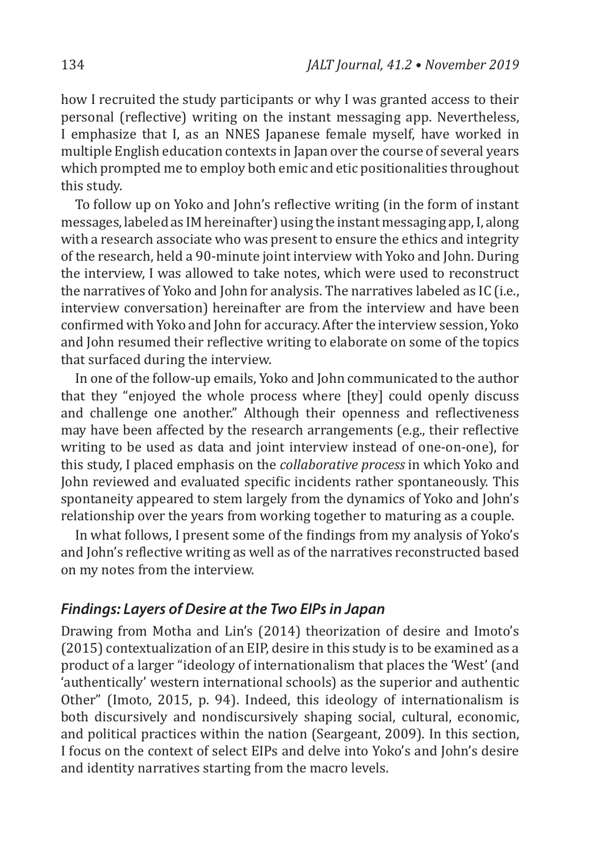how I recruited the study participants or why I was granted access to their personal (reflective) writing on the instant messaging app. Nevertheless, I emphasize that I, as an NNES Japanese female myself, have worked in multiple English education contexts in Japan over the course of several years which prompted me to employ both emic and etic positionalities throughout this study.

To follow up on Yoko and John's reflective writing (in the form of instant messages, labeled as IM hereinafter) using the instant messaging app, I, along with a research associate who was present to ensure the ethics and integrity of the research, held a 90-minute joint interview with Yoko and John. During the interview, I was allowed to take notes, which were used to reconstruct the narratives of Yoko and John for analysis. The narratives labeled as IC (i.e., interview conversation) hereinafter are from the interview and have been confirmed with Yoko and John for accuracy. After the interview session, Yoko and John resumed their reflective writing to elaborate on some of the topics that surfaced during the interview.

In one of the follow-up emails, Yoko and John communicated to the author that they "enjoyed the whole process where [they] could openly discuss and challenge one another." Although their openness and reflectiveness may have been affected by the research arrangements (e.g., their reflective writing to be used as data and joint interview instead of one-on-one), for this study, I placed emphasis on the *collaborative process* in which Yoko and John reviewed and evaluated specific incidents rather spontaneously. This spontaneity appeared to stem largely from the dynamics of Yoko and John's relationship over the years from working together to maturing as a couple.

In what follows, I present some of the findings from my analysis of Yoko's and John's reflective writing as well as of the narratives reconstructed based on my notes from the interview.

#### *Findings: Layers of Desire at the Two EIPs in Japan*

Drawing from Motha and Lin's (2014) theorization of desire and Imoto's (2015) contextualization of an EIP, desire in this study is to be examined as a product of a larger "ideology of internationalism that places the 'West' (and 'authentically' western international schools) as the superior and authentic Other" (Imoto, 2015, p. 94). Indeed, this ideology of internationalism is both discursively and nondiscursively shaping social, cultural, economic, and political practices within the nation (Seargeant, 2009). In this section, I focus on the context of select EIPs and delve into Yoko's and John's desire and identity narratives starting from the macro levels.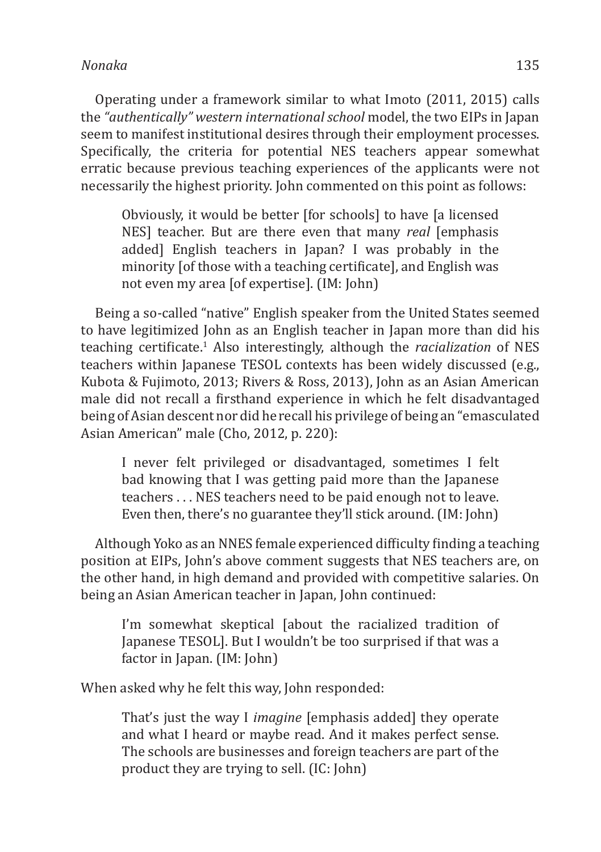Operating under a framework similar to what Imoto (2011, 2015) calls the *"authentically" western international school* model, the two EIPs in Japan seem to manifest institutional desires through their employment processes. Specifically, the criteria for potential NES teachers appear somewhat erratic because previous teaching experiences of the applicants were not necessarily the highest priority. John commented on this point as follows:

Obviously, it would be better [for schools] to have [a licensed NES] teacher. But are there even that many *real* [emphasis added] English teachers in Japan? I was probably in the minority [of those with a teaching certificate], and English was not even my area [of expertise]. (IM: John)

Being a so-called "native" English speaker from the United States seemed to have legitimized John as an English teacher in Japan more than did his teaching certificate.<sup>1</sup> Also interestingly, although the *racialization* of NES teachers within Japanese TESOL contexts has been widely discussed (e.g., Kubota & Fujimoto, 2013; Rivers & Ross, 2013), John as an Asian American male did not recall a firsthand experience in which he felt disadvantaged being of Asian descent nor did he recall his privilege of being an "emasculated Asian American" male (Cho, 2012, p. 220):

I never felt privileged or disadvantaged, sometimes I felt bad knowing that I was getting paid more than the Japanese teachers . . . NES teachers need to be paid enough not to leave. Even then, there's no guarantee they'll stick around. (IM: John)

Although Yoko as an NNES female experienced difficulty finding a teaching position at EIPs, John's above comment suggests that NES teachers are, on the other hand, in high demand and provided with competitive salaries. On being an Asian American teacher in Japan, John continued:

I'm somewhat skeptical [about the racialized tradition of Japanese TESOL]. But I wouldn't be too surprised if that was a factor in Japan. (IM: John)

When asked why he felt this way, John responded:

That's just the way I *imagine* [emphasis added] they operate and what I heard or maybe read. And it makes perfect sense. The schools are businesses and foreign teachers are part of the product they are trying to sell. (IC: John)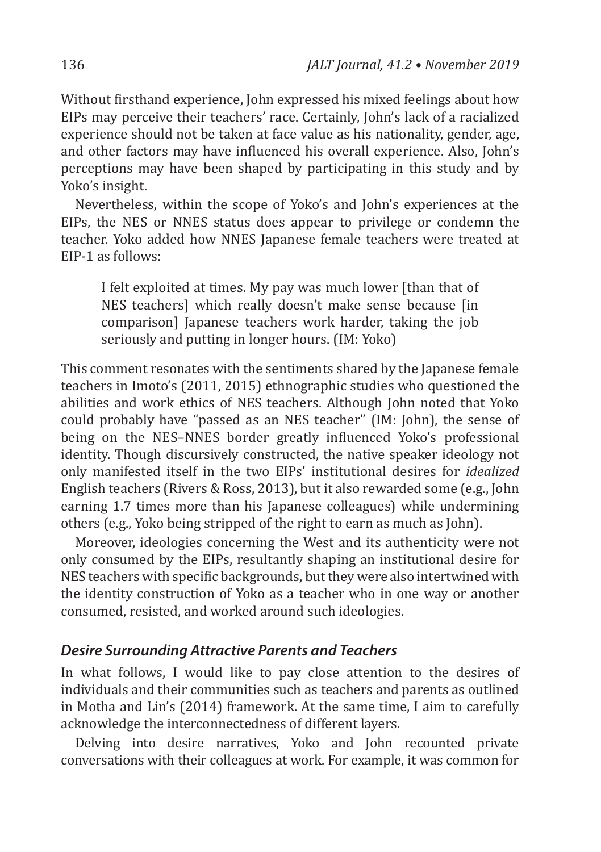Without firsthand experience, John expressed his mixed feelings about how EIPs may perceive their teachers' race. Certainly, John's lack of a racialized experience should not be taken at face value as his nationality, gender, age, and other factors may have influenced his overall experience. Also, John's perceptions may have been shaped by participating in this study and by Yoko's insight.

Nevertheless, within the scope of Yoko's and John's experiences at the EIPs, the NES or NNES status does appear to privilege or condemn the teacher. Yoko added how NNES Japanese female teachers were treated at EIP-1 as follows:

I felt exploited at times. My pay was much lower [than that of NES teachers] which really doesn't make sense because [in comparison] Japanese teachers work harder, taking the job seriously and putting in longer hours. (IM: Yoko)

This comment resonates with the sentiments shared by the Japanese female teachers in Imoto's (2011, 2015) ethnographic studies who questioned the abilities and work ethics of NES teachers. Although John noted that Yoko could probably have "passed as an NES teacher" (IM: John), the sense of being on the NES–NNES border greatly influenced Yoko's professional identity. Though discursively constructed, the native speaker ideology not only manifested itself in the two EIPs' institutional desires for *idealized* English teachers (Rivers & Ross, 2013), but it also rewarded some (e.g., John earning 1.7 times more than his Japanese colleagues) while undermining others (e.g., Yoko being stripped of the right to earn as much as John).

Moreover, ideologies concerning the West and its authenticity were not only consumed by the EIPs, resultantly shaping an institutional desire for NES teachers with specific backgrounds, but they were also intertwined with the identity construction of Yoko as a teacher who in one way or another consumed, resisted, and worked around such ideologies.

#### *Desire Surrounding Attractive Parents and Teachers*

In what follows, I would like to pay close attention to the desires of individuals and their communities such as teachers and parents as outlined in Motha and Lin's (2014) framework. At the same time, I aim to carefully acknowledge the interconnectedness of different layers.

Delving into desire narratives, Yoko and John recounted private conversations with their colleagues at work. For example, it was common for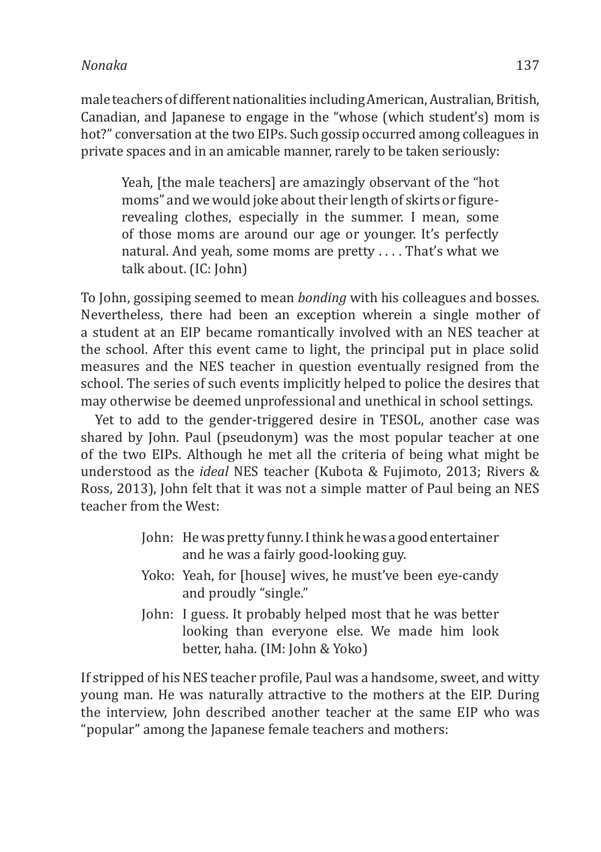male teachers of different nationalities including American, Australian, British, Canadian, and Japanese to engage in the "whose (which student's) mom is hot?" conversation at the two EIPs. Such gossip occurred among colleagues in private spaces and in an amicable manner, rarely to be taken seriously:

Yeah, [the male teachers] are amazingly observant of the "hot moms" and we would joke about their length of skirts or figurerevealing clothes, especially in the summer. I mean, some of those moms are around our age or younger. It's perfectly natural. And yeah, some moms are pretty . . . . That's what we talk about. (IC: John)

To John, gossiping seemed to mean *bonding* with his colleagues and bosses. Nevertheless, there had been an exception wherein a single mother of a student at an EIP became romantically involved with an NES teacher at the school. After this event came to light, the principal put in place solid measures and the NES teacher in question eventually resigned from the school. The series of such events implicitly helped to police the desires that may otherwise be deemed unprofessional and unethical in school settings.

Yet to add to the gender-triggered desire in TESOL, another case was shared by John. Paul (pseudonym) was the most popular teacher at one of the two EIPs. Although he met all the criteria of being what might be understood as the *ideal* NES teacher (Kubota & Fujimoto, 2013; Rivers & Ross, 2013), John felt that it was not a simple matter of Paul being an NES teacher from the West:

- John: He was pretty funny. I think he was a good entertainer and he was a fairly good-looking guy.
- Yoko: Yeah, for [house] wives, he must've been eye-candy and proudly "single."
- John: I guess. It probably helped most that he was better looking than everyone else. We made him look better, haha. (IM: John & Yoko)

If stripped of his NES teacher profile, Paul was a handsome, sweet, and witty young man. He was naturally attractive to the mothers at the EIP. During the interview, John described another teacher at the same EIP who was "popular" among the Japanese female teachers and mothers: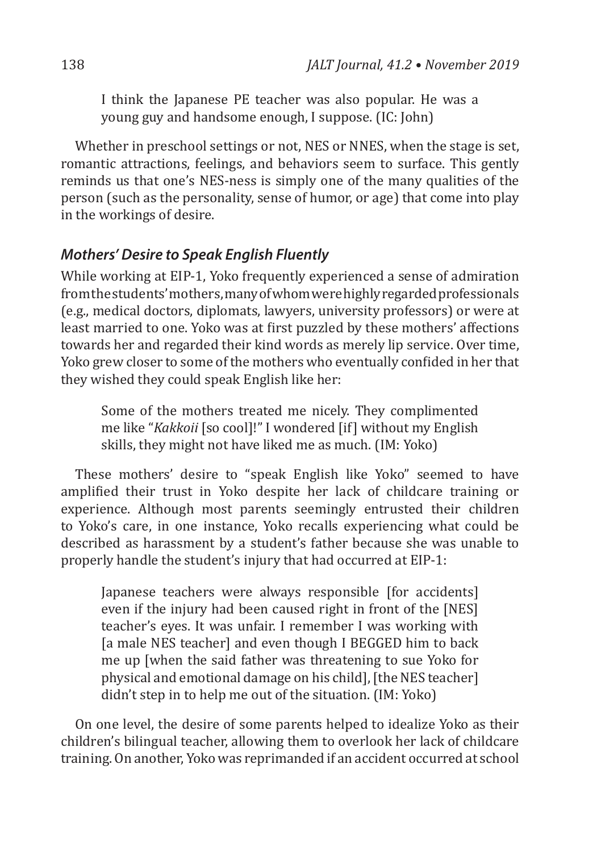I think the Japanese PE teacher was also popular. He was a young guy and handsome enough, I suppose. (IC: John)

Whether in preschool settings or not, NES or NNES, when the stage is set, romantic attractions, feelings, and behaviors seem to surface. This gently reminds us that one's NES-ness is simply one of the many qualities of the person (such as the personality, sense of humor, or age) that come into play in the workings of desire.

#### *Mothers' Desire to Speak English Fluently*

While working at EIP-1, Yoko frequently experienced a sense of admiration from the students' mothers, many of whom were highly regarded professionals (e.g., medical doctors, diplomats, lawyers, university professors) or were at least married to one. Yoko was at first puzzled by these mothers' affections towards her and regarded their kind words as merely lip service. Over time, Yoko grew closer to some of the mothers who eventually confided in her that they wished they could speak English like her:

Some of the mothers treated me nicely. They complimented me like "*Kakkoii* [so cool]!" I wondered [if] without my English skills, they might not have liked me as much. (IM: Yoko)

These mothers' desire to "speak English like Yoko" seemed to have amplified their trust in Yoko despite her lack of childcare training or experience. Although most parents seemingly entrusted their children to Yoko's care, in one instance, Yoko recalls experiencing what could be described as harassment by a student's father because she was unable to properly handle the student's injury that had occurred at EIP-1:

Japanese teachers were always responsible [for accidents] even if the injury had been caused right in front of the [NES] teacher's eyes. It was unfair. I remember I was working with [a male NES teacher] and even though I BEGGED him to back me up [when the said father was threatening to sue Yoko for physical and emotional damage on his child], [the NES teacher] didn't step in to help me out of the situation. (IM: Yoko)

On one level, the desire of some parents helped to idealize Yoko as their children's bilingual teacher, allowing them to overlook her lack of childcare training. On another, Yoko was reprimanded if an accident occurred at school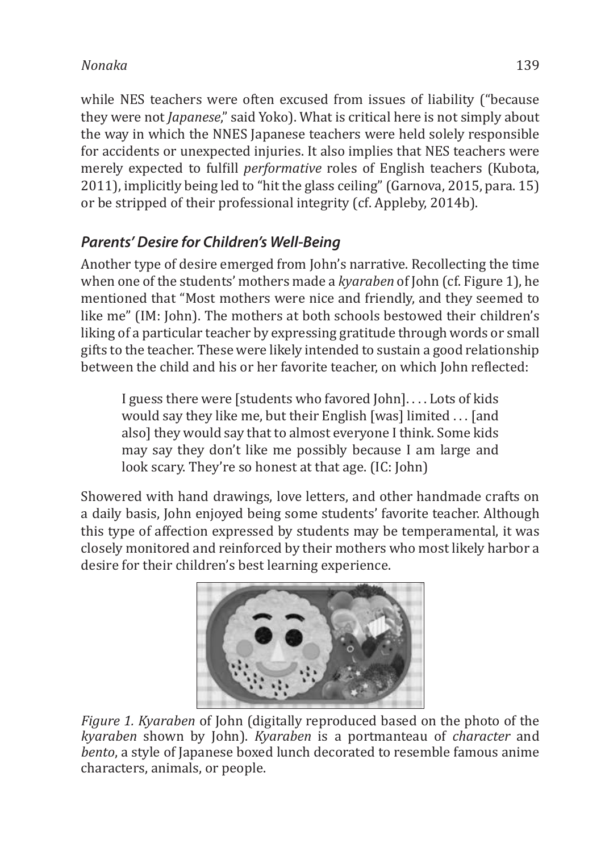while NES teachers were often excused from issues of liability ("because they were not *Japanese*," said Yoko). What is critical here is not simply about the way in which the NNES Japanese teachers were held solely responsible for accidents or unexpected injuries. It also implies that NES teachers were merely expected to fulfill *performative* roles of English teachers (Kubota, 2011), implicitly being led to "hit the glass ceiling" (Garnova, 2015, para. 15) or be stripped of their professional integrity (cf. Appleby, 2014b).

# *Parents' Desire for Children's Well-Being*

Another type of desire emerged from John's narrative. Recollecting the time when one of the students' mothers made a *kyaraben* of John (cf. Figure 1), he mentioned that "Most mothers were nice and friendly, and they seemed to like me" (IM: John). The mothers at both schools bestowed their children's liking of a particular teacher by expressing gratitude through words or small gifts to the teacher. These were likely intended to sustain a good relationship between the child and his or her favorite teacher, on which John reflected:

I guess there were [students who favored John]. . . . Lots of kids would say they like me, but their English [was] limited . . . [and also] they would say that to almost everyone I think. Some kids may say they don't like me possibly because I am large and look scary. They're so honest at that age. (IC: John)

Showered with hand drawings, love letters, and other handmade crafts on a daily basis, John enjoyed being some students' favorite teacher. Although this type of affection expressed by students may be temperamental, it was closely monitored and reinforced by their mothers who most likely harbor a desire for their children's best learning experience.



*Figure 1. Kyaraben* of John (digitally reproduced based on the photo of the *kyaraben* shown by John). *Kyaraben* is a portmanteau of *character* and *bento*, a style of Japanese boxed lunch decorated to resemble famous anime characters, animals, or people.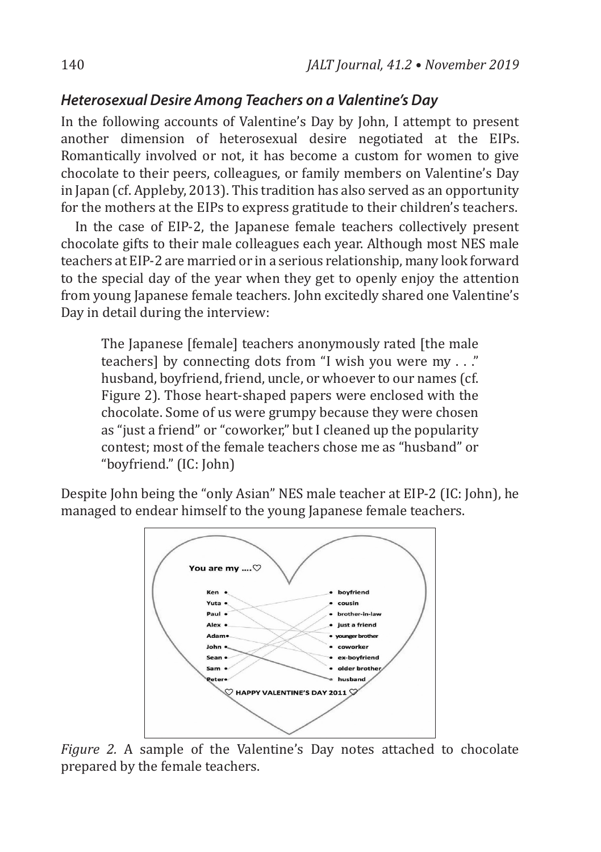#### *Heterosexual Desire Among Teachers on a Valentine's Day*

In the following accounts of Valentine's Day by John, I attempt to present another dimension of heterosexual desire negotiated at the EIPs. Romantically involved or not, it has become a custom for women to give chocolate to their peers, colleagues, or family members on Valentine's Day in Japan (cf. Appleby, 2013). This tradition has also served as an opportunity for the mothers at the EIPs to express gratitude to their children's teachers.

In the case of EIP-2, the Japanese female teachers collectively present chocolate gifts to their male colleagues each year. Although most NES male teachers at EIP-2 are married or in a serious relationship, many look forward to the special day of the year when they get to openly enjoy the attention from young Japanese female teachers. John excitedly shared one Valentine's Day in detail during the interview:

The Japanese [female] teachers anonymously rated [the male] teachers] by connecting dots from "I wish you were my . . ." husband, boyfriend, friend, uncle, or whoever to our names (cf. Figure 2). Those heart-shaped papers were enclosed with the chocolate. Some of us were grumpy because they were chosen as "just a friend" or "coworker," but I cleaned up the popularity contest; most of the female teachers chose me as "husband" or "boyfriend." (IC: John)

Despite John being the "only Asian" NES male teacher at EIP-2 (IC: John), he managed to endear himself to the young Japanese female teachers.



*Figure 2.* A sample of the Valentine's Day notes attached to chocolate prepared by the female teachers.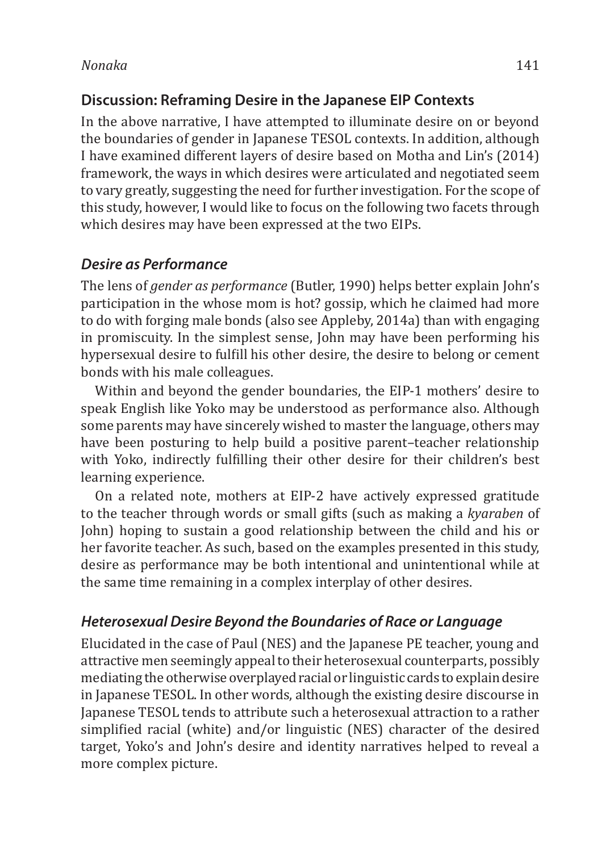#### **Discussion: Reframing Desire in the Japanese EIP Contexts**

In the above narrative, I have attempted to illuminate desire on or beyond the boundaries of gender in Japanese TESOL contexts. In addition, although I have examined different layers of desire based on Motha and Lin's (2014) framework, the ways in which desires were articulated and negotiated seem to vary greatly, suggesting the need for further investigation. For the scope of this study, however, I would like to focus on the following two facets through which desires may have been expressed at the two EIPs.

#### *Desire as Performance*

The lens of *gender as performance* (Butler, 1990) helps better explain John's participation in the whose mom is hot? gossip, which he claimed had more to do with forging male bonds (also see Appleby, 2014a) than with engaging in promiscuity. In the simplest sense, John may have been performing his hypersexual desire to fulfill his other desire, the desire to belong or cement bonds with his male colleagues.

Within and beyond the gender boundaries, the EIP-1 mothers' desire to speak English like Yoko may be understood as performance also. Although some parents may have sincerely wished to master the language, others may have been posturing to help build a positive parent–teacher relationship with Yoko, indirectly fulfilling their other desire for their children's best learning experience.

On a related note, mothers at EIP-2 have actively expressed gratitude to the teacher through words or small gifts (such as making a *kyaraben* of John) hoping to sustain a good relationship between the child and his or her favorite teacher. As such, based on the examples presented in this study, desire as performance may be both intentional and unintentional while at the same time remaining in a complex interplay of other desires.

#### *Heterosexual Desire Beyond the Boundaries of Race or Language*

Elucidated in the case of Paul (NES) and the Japanese PE teacher, young and attractive men seemingly appeal to their heterosexual counterparts, possibly mediating the otherwise overplayed racial or linguistic cards to explain desire in Japanese TESOL. In other words, although the existing desire discourse in Japanese TESOL tends to attribute such a heterosexual attraction to a rather simplified racial (white) and/or linguistic (NES) character of the desired target, Yoko's and John's desire and identity narratives helped to reveal a more complex picture.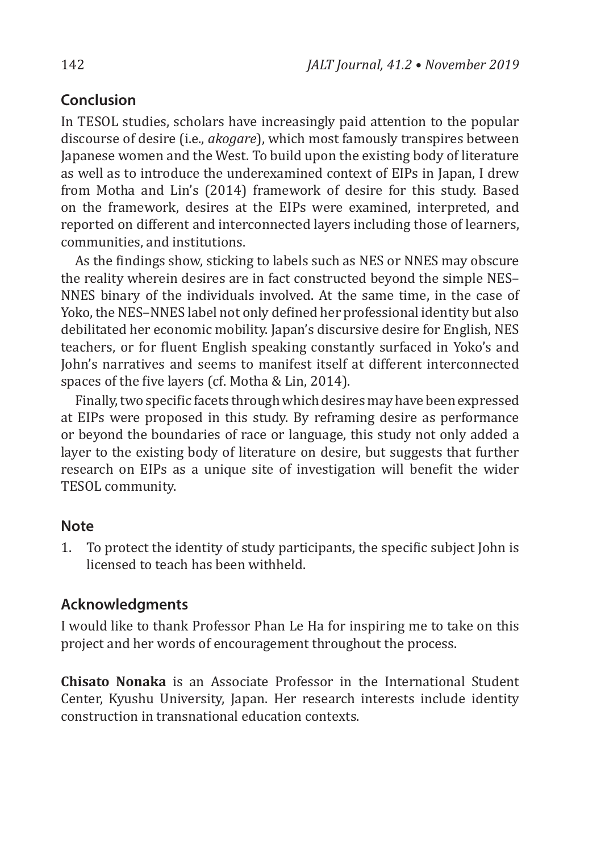### **Conclusion**

In TESOL studies, scholars have increasingly paid attention to the popular discourse of desire (i.e., *akogare*), which most famously transpires between Japanese women and the West. To build upon the existing body of literature as well as to introduce the underexamined context of EIPs in Japan, I drew from Motha and Lin's (2014) framework of desire for this study. Based on the framework, desires at the EIPs were examined, interpreted, and reported on different and interconnected layers including those of learners, communities, and institutions.

As the findings show, sticking to labels such as NES or NNES may obscure the reality wherein desires are in fact constructed beyond the simple NES– NNES binary of the individuals involved. At the same time, in the case of Yoko, the NES–NNES label not only defined her professional identity but also debilitated her economic mobility. Japan's discursive desire for English, NES teachers, or for fluent English speaking constantly surfaced in Yoko's and John's narratives and seems to manifest itself at different interconnected spaces of the five layers (cf. Motha & Lin, 2014).

Finally, two specific facets through which desires may have been expressed at EIPs were proposed in this study. By reframing desire as performance or beyond the boundaries of race or language, this study not only added a layer to the existing body of literature on desire, but suggests that further research on EIPs as a unique site of investigation will benefit the wider TESOL community.

### **Note**

1. To protect the identity of study participants, the specific subject John is licensed to teach has been withheld.

### **Acknowledgments**

I would like to thank Professor Phan Le Ha for inspiring me to take on this project and her words of encouragement throughout the process.

**Chisato Nonaka** is an Associate Professor in the International Student Center, Kyushu University, Japan. Her research interests include identity construction in transnational education contexts.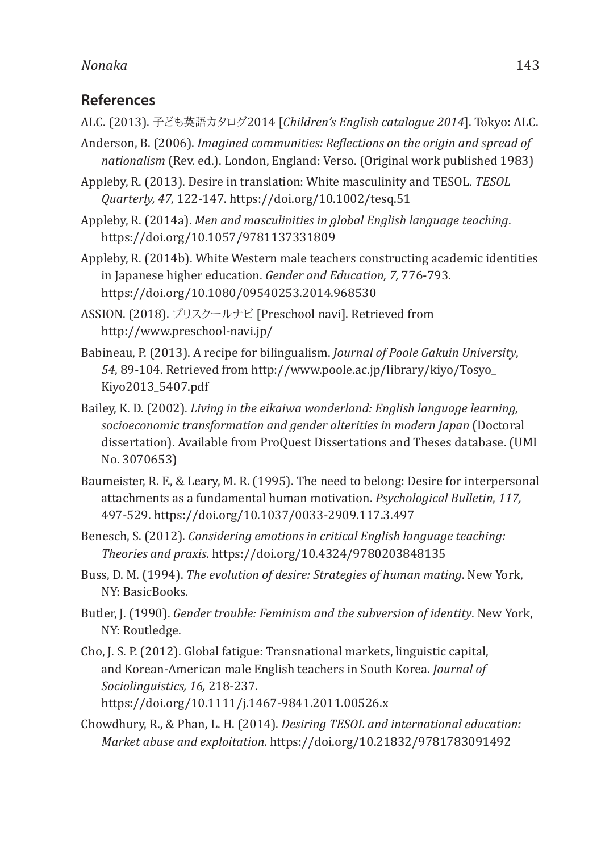#### **References**

- ALC. (2013). 子ども英語カタログ2014 [*Children's English catalogue 2014*]. Tokyo: ALC.
- Anderson, B. (2006). *Imagined communities: Reflections on the origin and spread of nationalism* (Rev. ed.). London, England: Verso. (Original work published 1983)
- Appleby, R. (2013). Desire in translation: White masculinity and TESOL. *TESOL Quarterly, 47,* 122-147. https://doi.org/10.1002/tesq.51
- Appleby, R. (2014a). *Men and masculinities in global English language teaching*. https://doi.org/10.1057/9781137331809
- Appleby, R. (2014b). White Western male teachers constructing academic identities in Japanese higher education. *Gender and Education, 7,* 776-793. https://doi.org/10.1080/09540253.2014.968530
- ASSION. (2018). プリスクールナビ [Preschool navi]. Retrieved from http://www.preschool-navi.jp/
- Babineau, P. (2013). A recipe for bilingualism. *Journal of Poole Gakuin University*, *54*, 89-104. Retrieved from http://www.poole.ac.jp/library/kiyo/Tosyo\_ Kiyo2013\_5407.pdf
- Bailey, K. D. (2002). *Living in the eikaiwa wonderland: English language learning, socioeconomic transformation and gender alterities in modern Japan* (Doctoral dissertation). Available from ProQuest Dissertations and Theses database. (UMI No. 3070653)
- Baumeister, R. F., & Leary, M. R. (1995). The need to belong: Desire for interpersonal attachments as a fundamental human motivation. *Psychological Bulletin*, *117,* 497-529. https://doi.org/10.1037/0033-2909.117.3.497
- Benesch, S. (2012). *Considering emotions in critical English language teaching: Theories and praxis*. https://doi.org/10.4324/9780203848135
- Buss, D. M. (1994). *The evolution of desire: Strategies of human mating*. New York, NY: BasicBooks.
- Butler, J. (1990). *Gender trouble: Feminism and the subversion of identity*. New York, NY: Routledge.
- Cho, J. S. P. (2012). Global fatigue: Transnational markets, linguistic capital, and Korean-American male English teachers in South Korea. *Journal of Sociolinguistics, 16,* 218-237. https://doi.org/10.1111/j.1467-9841.2011.00526.x
- Chowdhury, R., & Phan, L. H. (2014). *Desiring TESOL and international education: Market abuse and exploitation*. https://doi.org/10.21832/9781783091492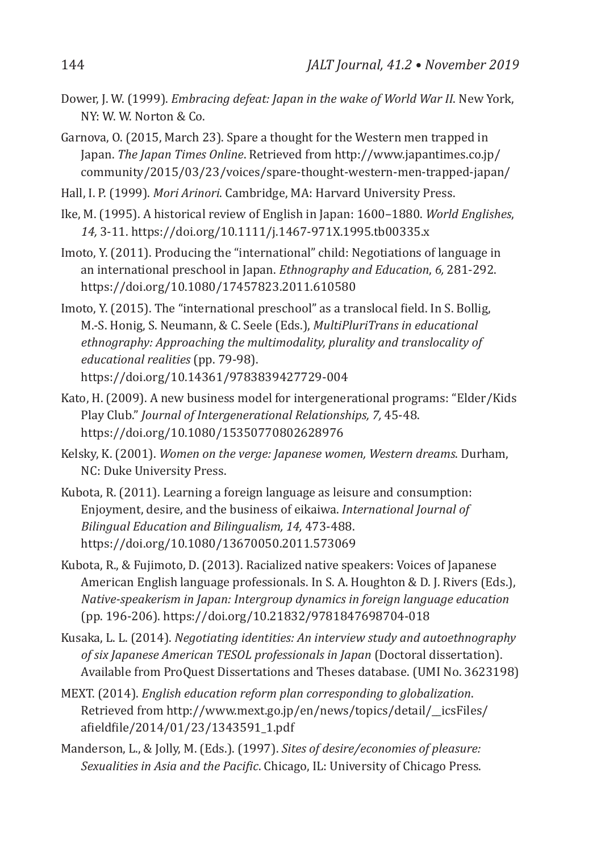- Dower, J. W. (1999). *Embracing defeat: Japan in the wake of World War II*. New York, NY: W. W. Norton & Co.
- Garnova, O. (2015, March 23). Spare a thought for the Western men trapped in Japan. *The Japan Times Online*. Retrieved from http://www.japantimes.co.jp/ community/2015/03/23/voices/spare-thought-western-men-trapped-japan/
- Hall, I. P. (1999). *Mori Arinori*. Cambridge, MA: Harvard University Press.
- Ike, M. (1995). A historical review of English in Japan: 1600–1880. *World Englishes*, *14,* 3-11. https://doi.org/10.1111/j.1467-971X.1995.tb00335.x
- Imoto, Y. (2011). Producing the "international" child: Negotiations of language in an international preschool in Japan. *Ethnography and Education*, *6,* 281-292. https://doi.org/10.1080/17457823.2011.610580
- Imoto, Y. (2015). The "international preschool" as a translocal field. In S. Bollig, M.-S. Honig, S. Neumann, & C. Seele (Eds.), *MultiPluriTrans in educational ethnography: Approaching the multimodality, plurality and translocality of educational realities* (pp. 79-98). https://doi.org/10.14361/9783839427729-004
- Kato, H. (2009). A new business model for intergenerational programs: "Elder/Kids Play Club." *Journal of Intergenerational Relationships, 7,* 45-48. https://doi.org/10.1080/15350770802628976
- Kelsky, K. (2001). *Women on the verge: Japanese women, Western dreams*. Durham, NC: Duke University Press.
- Kubota, R. (2011). Learning a foreign language as leisure and consumption: Enjoyment, desire, and the business of eikaiwa. *International Journal of Bilingual Education and Bilingualism, 14,* 473-488. https://doi.org/10.1080/13670050.2011.573069
- Kubota, R., & Fujimoto, D. (2013). Racialized native speakers: Voices of Japanese American English language professionals. In S. A. Houghton & D. J. Rivers (Eds.), *Native-speakerism in Japan: Intergroup dynamics in foreign language education* (pp. 196-206). https://doi.org/10.21832/9781847698704-018
- Kusaka, L. L. (2014). *Negotiating identities: An interview study and autoethnography of six Japanese American TESOL professionals in Japan* (Doctoral dissertation). Available from ProQuest Dissertations and Theses database. (UMI No. 3623198)
- MEXT. (2014). *English education reform plan corresponding to globalization*. Retrieved from http://www.mext.go.jp/en/news/topics/detail/\_\_icsFiles/ afieldfile/2014/01/23/1343591\_1.pdf
- Manderson, L., & Jolly, M. (Eds.). (1997). *Sites of desire/economies of pleasure: Sexualities in Asia and the Pacific*. Chicago, IL: University of Chicago Press.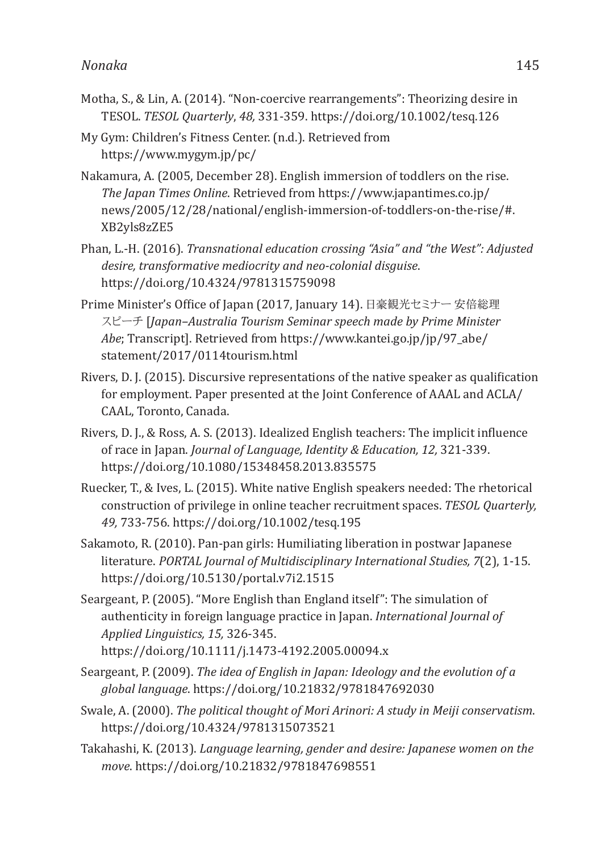- Motha, S., & Lin, A. (2014). "Non-coercive rearrangements": Theorizing desire in TESOL. *TESOL Quarterly*, *48,* 331-359. https://doi.org/10.1002/tesq.126
- My Gym: Children's Fitness Center. (n.d.). Retrieved from https://www.mygym.jp/pc/
- Nakamura, A. (2005, December 28). English immersion of toddlers on the rise. *The Japan Times Online*. Retrieved from https://www.japantimes.co.jp/ news/2005/12/28/national/english-immersion-of-toddlers-on-the-rise/#. XB2yls8zZE5
- Phan, L.-H. (2016). *Transnational education crossing "Asia" and "the West": Adjusted desire, transformative mediocrity and neo-colonial disguise*. https://doi.org/10.4324/9781315759098
- Prime Minister's Office of Japan (2017, January 14). 日豪観光セミナー 安倍総理 スピーチ [*Japan–Australia Tourism Seminar speech made by Prime Minister Abe*; Transcript]. Retrieved from https://www.kantei.go.jp/jp/97\_abe/ statement/2017/0114tourism.html
- Rivers, D. J. (2015). Discursive representations of the native speaker as qualification for employment. Paper presented at the Joint Conference of AAAL and ACLA/ CAAL, Toronto, Canada.
- Rivers, D. J., & Ross, A. S. (2013). Idealized English teachers: The implicit influence of race in Japan. *Journal of Language, Identity & Education, 12,* 321-339. https://doi.org/10.1080/15348458.2013.835575
- Ruecker, T., & Ives, L. (2015). White native English speakers needed: The rhetorical construction of privilege in online teacher recruitment spaces. *TESOL Quarterly, 49,* 733-756. https://doi.org/10.1002/tesq.195
- Sakamoto, R. (2010). Pan-pan girls: Humiliating liberation in postwar Japanese literature. *PORTAL Journal of Multidisciplinary International Studies, 7*(2), 1-15. https://doi.org/10.5130/portal.v7i2.1515
- Seargeant, P. (2005). "More English than England itself": The simulation of authenticity in foreign language practice in Japan. *International Journal of Applied Linguistics, 15,* 326-345.
	- https://doi.org/10.1111/j.1473-4192.2005.00094.x
- Seargeant, P. (2009). *The idea of English in Japan: Ideology and the evolution of a global language*. https://doi.org/10.21832/9781847692030
- Swale, A. (2000). *The political thought of Mori Arinori: A study in Meiji conservatism*. https://doi.org/10.4324/9781315073521
- Takahashi, K. (2013). *Language learning, gender and desire: Japanese women on the move*. https://doi.org/10.21832/9781847698551